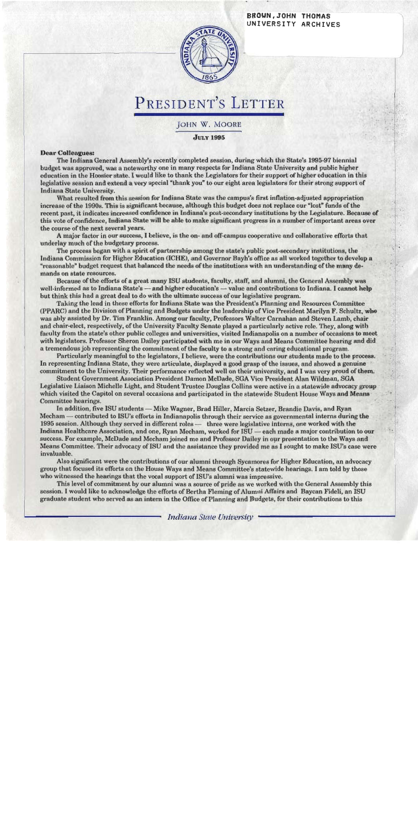#### BROUN, JOHN THOMAS UNIVERSITY ARCHIVES



# PRESIDENT'S LETTER

JOHN W. MOORE

**Лигу 1995** 

#### **Dear Colleagues:**

The Indiana General Assembly's recently completed session, during which the State's 1995-97 biennial budget was approved, was a noteworthy one in many respects for Indiana State University and public higher education in the Hoosier state. I would like to thank the Legislators for their support of higher education in this legislative session and extend a very special "thank you" to our eight area legislators for their strong support of Indiana State University.

What resulted from this session for Indiana State was the campus's first inflation-adjusted appropriation increase of the 1990s. This is significant because, although this budget does not replace our "lost" funds of the recent past, it indicates increased confidence in Indiana's post-secondary institutions by the Legislature. Because of this vote of confidence, Indiana State will be able to make significant progress in a number of important areas over the course of the next several years.

A major factor in our success, I believe, is the on- and off-campus cooperative and collaborative efforts that underlay much of the budgetary process.

The process began with a spirit of partnership among the state's public post-secondary institutions, the Indiana Commission for Higher Education (ICHE), and Governor Bayh's office as all worked together to develop a "reasonable" budget request that balanced the needs of the institutions with an understanding of the many demands on state resources.

Because of the efforts of a great many ISU students, faculty, staff, and alumni, the General Assembly was well-informed as to Indiana State's — and higher education's — value and contributions to Indiana. I cannot help but think this had a great deal to do with the ultimate success of our legislative program.

Taking the lead in these efforts for Indiana State was the President's Planning and Resources Committee (PPARC) and the Division of Planning and Budgets under the leadership of Vice President Marilyn F. Schultz, who was ably assisted by Dr. Tim Franklin. Among our faculty, Professors Walter Carnahan and Steven Lamb, chair and chair-elect, respectively, of the University Faculty Senate played a particularly active role. They, along with faculty from the state's other public colleges and universities, visited Indianapolis on a number of occasions to meet with legislators. Professor Sheron Dailey participated with me in our Ways and Means Committee hearing and did a tremendous job representing the commitment of the faculty to a strong and caring educational program.

Particularly meaningful to the legislators, I believe, were the contributions our students made to the process. In representing Indiana State, they were articulate, displayed a good grasp of the issues, and showed a genuine commitment to the University. Their performance reflected well on their university, and I was very proud of them.

Student Government Association President Damon McDade, SGA Vice President Alan Wildman, SGA Legislative Liaison Michelle Light, and Student Trustee Douglas Collins were active in a statewide advocacy group which visited the Capitol on several occasions and participated in the statewide Student House Ways and Means Committee hearings.

In addition, five ISU students — Mike Wagner, Brad Hiller, Marcia Setzer, Brandie Davis, and Ryan Mechamcontributed to ISU's efforts in Indianapolis through their service as governmental interns during the 1995 session. Although they served in different roles - three were legislative interns, one worked with the Indiana Healthcare Association, and one, Ryan Mecham, worked for ISU - each made a major contribution to our success. For example, McDade and Mecham joined me and Professor Dailey in our presentation to the Ways and Means Committee. Their advocacy of ISU and the assistance they provided me as I sought to make ISU's case were invaluable.

Also significant were the contributions of our alumni through Sycamores for Higher Education, an advocacy group that focused its efforts on the House Ways and Means Committee's statewide hearings. I am told by those who witnessed the hearings that the vocal support of ISU's alumni was impressive.

This level of commitment by our alumni was a source of pride as we worked with the General Assembly this session. I would like to acknowledge the efforts of Bertha Fleming of Alumni Affairs and Baycan Fideli, an ISU graduate student who served as an intern in the Office of Planning and Budgets, for their contributions to this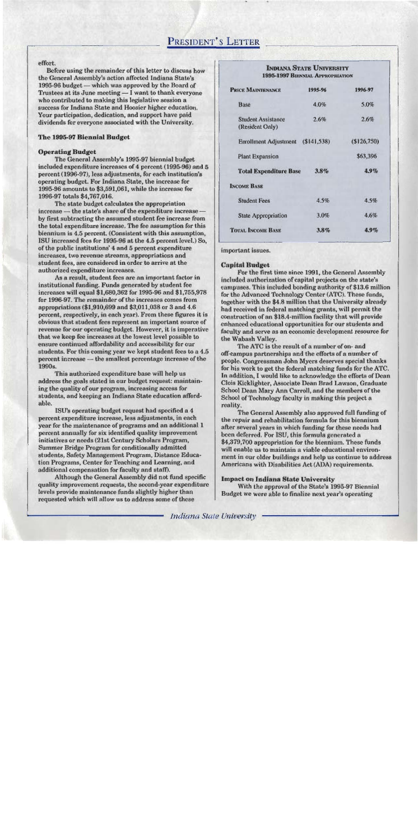### PRESIDENT'S LETTER

#### effort.

Before using the remainder of this letter to discuss how the General Assembly's action affected Indiana State's 1995-96 budget — which was approved by the Board of Trustees at its June meeting — I want to thank everyone who contributed to making this legislative session a success for Indiana State and Hoosier higher education. Your participation, dedication, and support have paid dividends for everyone associated with the University.

#### The 1995-97 Biennial Budget

#### **Operating Budget**

The General Assembly's 1995-97 biennial budget included expenditure increases of 4 percent (1995-96) and 5 percent (1996-97), less adjustments, for each institution's operating budget. For Indiana State, the increase for 1995-96 amounts to \$3,591,061, while the increase for 1996-97 totals \$4,767,016.

The state budget calculates the appropriation increase — the state's share of the expenditure increase by first subtracting the assumed student fee increase from the total expenditure increase. The fee assumption for this biennium is 4.5 percent. (Consistent with this assumption, ISU increased fees for 1995-96 at the 4.5 percent level.) So, of the public institutions' 4 and 5 percent expenditure increases, two revenue streams, appropriations and student fees, are considered in order to arrive at the authorized expenditure increases.

As a result, student fees are an important factor in institutional funding. Funds generated by student fee increases will equal \$1,680,362 for 1995-96 and \$1,755,978 for 1996-97. The remainder of the increases comes from appropriations (\$1,910,699 and \$3,011,038 or 3 and 4.6) percent, respectively, in each year). From these figures it is obvious that student fees represent an important source of revenue for our operating budget. However, it is imperative that we keep fee increases at the lowest level possible to ensure continued affordability and accessibility for our students. For this coming year we kept student fees to a 4.5 percent increase - the smallest percentage increase of the 1990s.

This authorized expenditure base will help us address the goals stated in our budget request: maintaining the quality of our program, increasing access for students, and keeping an Indiana State education affordable.

ISU's operating budget request had specified a 4 percent expenditure increase, less adjustments, in each year for the maintenance of programs and an additional 1 percent annually for six identified quality improvement initiatives or needs (21st Century Scholars Program, **Summer Bridge Program for conditionally admitted** students, Safety Management Program, Distance Education Programs, Center for Teaching and Learning, and additional compensation for faculty and staff).

Although the General Assembly did not fund specific quality improvement requests, the second-year expenditure levels provide maintenance funds slightly higher than requested which will allow us to address some of these

#### **INDIANA STATE UNIVERSITY 1995-1997 BIENNIAL APPROPRIATION**

| <b>PRICE MAINTENANCE</b>                     | 1995-96 | 1996-97     |
|----------------------------------------------|---------|-------------|
| <b>Base</b>                                  | 4.0%    | 5.0%        |
| <b>Student Assistance</b><br>(Resident Only) | 2.6%    | 2.6%        |
| Enrollment Adjustment (\$141,538)            |         | (\$126,750) |
| <b>Plant Expansion</b>                       |         | \$63,396    |
| <b>Total Expenditure Base</b>                | $3.8\%$ | 4.9%        |
| <b>INCOME BASE</b>                           |         |             |
| <b>Student Fees</b>                          | $4.5\%$ | 4.5%        |
| <b>State Appropriation</b>                   | 3.0%    | 4.6%        |
| <b>TOTAL INCOME BASE</b>                     | $3.8\%$ | 4.9%        |

important issues.

#### **Capital Budget**

For the first time since 1991, the General Assembly included authorization of capital projects on the state's campuses. This included bonding authority of \$13.6 million for the Advanced Technology Center (ATC). These funds, together with the \$4.8 million that the University already had received in federal matching grants, will permit the construction of an \$18.4-million facility that will provide enhanced educational opportunities for our students and faculty and serve as an economic development resource for the Wabash Valley.

The ATC is the result of a number of on- and off-campus partnerships and the efforts of a number of people. Congressman John Myers deserves special thanks for his work to get the federal matching funds for the ATC. In addition. I would like to acknowledge the efforts of Dean Clois Kicklighter, Associate Dean Brad Lawson, Graduate School Dean Mary Ann Carroll, and the members of the School of Technology faculty in making this project a reality.

The General Assembly also approved full funding of the repair and rehabilitation formula for this biennium after several years in which funding for these needs had been deferred. For ISU, this formula generated a \$4,379,700 appropriation for the biennium. These funds will enable us to maintain a viable educational environment in our older buildings and help us continue to address Americans with Disabilities Act (ADA) requirements.

#### **Impact on Indiana State University**

With the approval of the State's 1995-97 Biennial Budget we were able to finalize next year's operating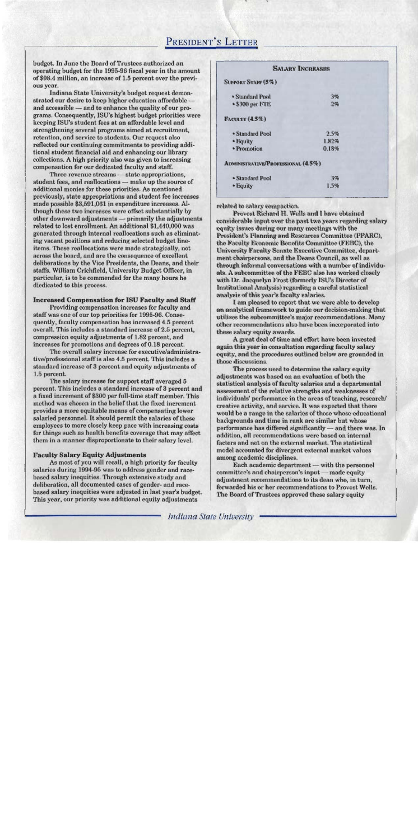### PRESIDENT'S LETTER

budget. In June the Board of Trustees authorized an operating budget for the 1995-96 fiscal year in the amount of \$98.4 million, an increase of 1.5 percent over the previous year.

Indiana State University's budget request demonstrated our desire to keep higher education affordable and accessible - and to enhance the quality of our programs. Consequently, ISU's highest budget priorities were keeping ISU's student fees at an affordable level and strengthening several programs aimed at recruitment, retention, and service to students. Our request also reflected our continuing commitments to providing additional student financial aid and enhancing our library collections. A high priority also was given to increasing compensation for our dedicated faculty and staff.

Three revenue streams - state appropriations, student fees, and reallocations - make up the source of additional monies for these priorities. As mentioned previously, state appropriations and student fee increases made possible \$3,591,061 in expenditure increases. Although these two increases were offset substantially by other downward adjustments - primarily the adjustments related to lost enrollment. An additional \$1,440,000 was generated through internal reallocations such as eliminating vacant positions and reducing selected budget lineitems. These reallocations were made strategically, not across the board, and are the consequence of excellent deliberations by the Vice Presidents, the Deans, and their staffs. William Crichfield, University Budget Officer, in particular, is to be commended for the many hours he diedicated to this process.

#### **Increased Compensation for ISU Faculty and Staff**

Providing compensation increases for faculty and staff was one of our top priorities for 1995-96. Consequently, faculty compensation has increased 4.5 percent overall. This includes a standard increase of 2.5 percent, compression equity adjustments of 1.82 percent, and increases for promotions and degrees of 0.18 percent.

The overall salary increase for executive/administrative/professional staff is also 4.5 percent. This includes a standard increase of 3 percent and equity adjustments of 1.5 percent.

The salary increase for support staff averaged 5 percent. This includes a standard increase of 3 percent and a fixed increment of \$300 per full-time staff member. This method was chosen in the belief that the fixed increment provides a more equitable means of compensating lower salaried personnel. It should permit the salaries of these employees to more closely keep pace with increasing costs for things such as health benefits coverage that may affect them in a manner disproportionate to their salary level.

#### **Faculty Salary Equity Adjustments**

As most of you will recall, a high priority for faculty salaries during 1994-95 was to address gender and racebased salary inequities. Through extensive study and deliberation, all documented cases of gender- and racebased salary inequities were adjusted in last year's budget. This year, our priority was additional equity adjustments

|                                           | <b>SALARY INCREASES</b> |  |
|-------------------------------------------|-------------------------|--|
| <b>SUPPORT STAFF (5%)</b>                 |                         |  |
| • Standard Pool                           | 3%                      |  |
| • \$300 per FTE                           | 2%                      |  |
| <b>FACULTY (4.5%)</b>                     |                         |  |
| • Standard Pool                           | 2.5%                    |  |
| • Equity                                  | 1.82%                   |  |
| • Promotion                               | 0.18%                   |  |
| <b>ADMINISTRATIVE/PROFESSIONAL (4.5%)</b> |                         |  |
| • Standard Pool                           | 3%                      |  |
| • Equity                                  | 1.5%                    |  |
|                                           |                         |  |

related to salary compaction.

Provost Richard H. Wells and I have obtained considerable input over the past two years regarding salary equity issues during our many meetings with the President's Planning and Resources Committee (PPARC), the Faculty Economic Benefits Committee (FEBC), the University Faculty Senate Executive Committee, department chairpersons, and the Deans Council, as well as through informal conversations with a number of individuals. A subcommittee of the FEBC also has worked closely with Dr. Jacquelyn Frost (formerly ISU's Director of Institutional Analysis) regarding a careful statistical analysis of this year's faculty salaries.

I am pleased to report that we were able to develop an analytical framework to guide our decision-making that utilizes the subcommittee's major recommendations. Many other recommendations also have been incorporated into these salary equity awards.

A great deal of time and effort have been invested again this year in consultation regarding faculty salary equity, and the procedures outlined below are grounded in those discussions.

The process used to determine the salary equity adjustments was based on an evaluation of both the statistical analysis of faculty salaries and a departmental assessment of the relative strengths and weaknesses of individuals' performance in the areas of teaching, research/ creative activity, and service. It was expected that there would be a range in the salaries of those whose educational backgrounds and time in rank are similar but whose performance has differed significantly - and there was. In addition, all recommendations were based on internal factors and not on the external market. The statistical model accounted for divergent external market values among academic disciplines.

Each academic department — with the personnel committee's and chairperson's input - made equity adjustment recommendations to its dean who, in turn, forwarded his or her recommendations to Provost Wells. The Board of Trustees approved these salary equity